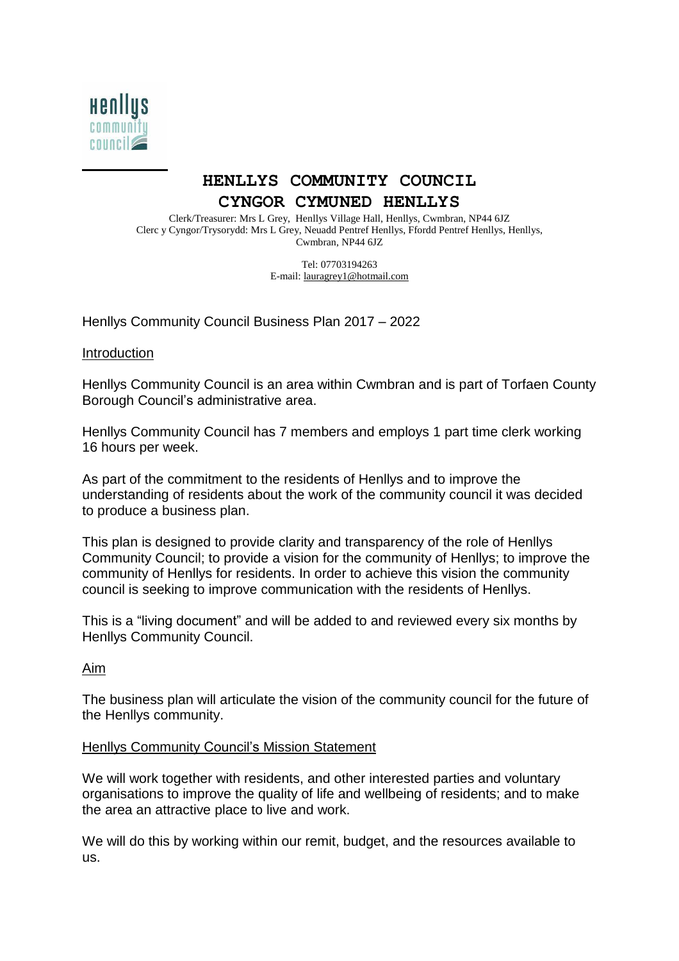

# **HENLLYS COMMUNITY COUNCIL CYNGOR CYMUNED HENLLYS**

Clerk/Treasurer: Mrs L Grey, Henllys Village Hall, Henllys, Cwmbran, NP44 6JZ Clerc y Cyngor/Trysorydd: Mrs L Grey, Neuadd Pentref Henllys, Ffordd Pentref Henllys, Henllys, Cwmbran, NP44 6JZ

> Tel: 07703194263 E-mail: [lauragrey1@hotmail.com](mailto:lauragrey1@hotmail.com)

Henllys Community Council Business Plan 2017 – 2022

#### **Introduction**

Henllys Community Council is an area within Cwmbran and is part of Torfaen County Borough Council's administrative area.

Henllys Community Council has 7 members and employs 1 part time clerk working 16 hours per week.

As part of the commitment to the residents of Henllys and to improve the understanding of residents about the work of the community council it was decided to produce a business plan.

This plan is designed to provide clarity and transparency of the role of Henllys Community Council; to provide a vision for the community of Henllys; to improve the community of Henllys for residents. In order to achieve this vision the community council is seeking to improve communication with the residents of Henllys.

This is a "living document" and will be added to and reviewed every six months by Henllys Community Council.

Aim

The business plan will articulate the vision of the community council for the future of the Henllys community.

#### Henllys Community Council's Mission Statement

We will work together with residents, and other interested parties and voluntary organisations to improve the quality of life and wellbeing of residents; and to make the area an attractive place to live and work.

We will do this by working within our remit, budget, and the resources available to us.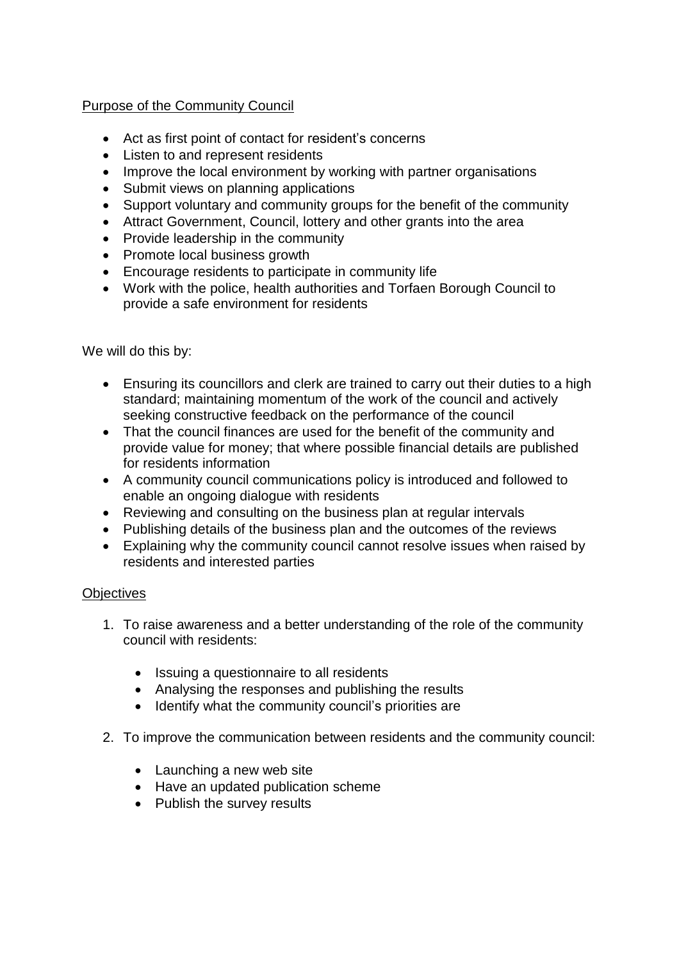## Purpose of the Community Council

- Act as first point of contact for resident's concerns
- Listen to and represent residents
- Improve the local environment by working with partner organisations
- Submit views on planning applications
- Support voluntary and community groups for the benefit of the community
- Attract Government, Council, lottery and other grants into the area
- Provide leadership in the community
- Promote local business growth
- Encourage residents to participate in community life
- Work with the police, health authorities and Torfaen Borough Council to provide a safe environment for residents

We will do this by:

- Ensuring its councillors and clerk are trained to carry out their duties to a high standard; maintaining momentum of the work of the council and actively seeking constructive feedback on the performance of the council
- That the council finances are used for the benefit of the community and provide value for money; that where possible financial details are published for residents information
- A community council communications policy is introduced and followed to enable an ongoing dialogue with residents
- Reviewing and consulting on the business plan at regular intervals
- Publishing details of the business plan and the outcomes of the reviews
- Explaining why the community council cannot resolve issues when raised by residents and interested parties

### **Objectives**

- 1. To raise awareness and a better understanding of the role of the community council with residents:
	- Issuing a questionnaire to all residents
	- Analysing the responses and publishing the results
	- Identify what the community council's priorities are
- 2. To improve the communication between residents and the community council:
	- Launching a new web site
	- Have an updated publication scheme
	- Publish the survey results